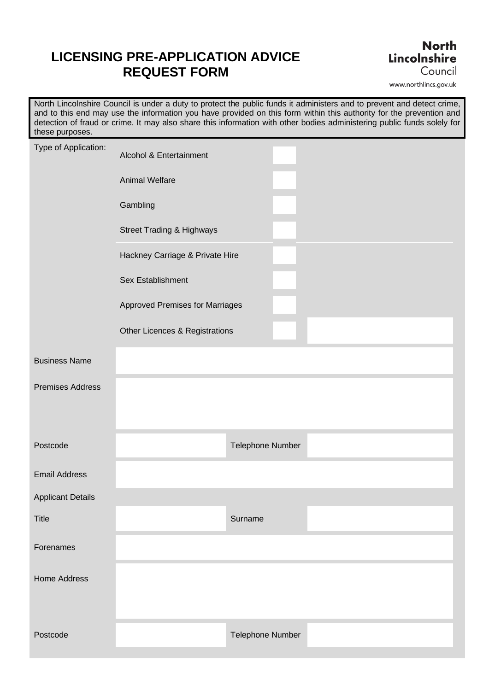## **LICENSING PRE-APPLICATION ADVICE REQUEST FORM**

## **North** Lincolnshire Council

www.northlincs.gov.uk

 North Lincolnshire Council is under a duty to protect the public funds it administers and to prevent and detect crime, and to this end may use the information you have provided on this form within this authority for the prevention and detection of fraud or crime. It may also share this information with other bodies administering public funds solely for these purposes.

| Type of Application:     | Alcohol & Entertainment              |                  |  |
|--------------------------|--------------------------------------|------------------|--|
|                          | <b>Animal Welfare</b>                |                  |  |
|                          | Gambling                             |                  |  |
|                          | <b>Street Trading &amp; Highways</b> |                  |  |
|                          | Hackney Carriage & Private Hire      |                  |  |
|                          | Sex Establishment                    |                  |  |
|                          | Approved Premises for Marriages      |                  |  |
|                          | Other Licences & Registrations       |                  |  |
| <b>Business Name</b>     |                                      |                  |  |
| <b>Premises Address</b>  |                                      |                  |  |
|                          |                                      |                  |  |
| Postcode                 |                                      | Telephone Number |  |
| <b>Email Address</b>     |                                      |                  |  |
| <b>Applicant Details</b> |                                      |                  |  |
| <b>Title</b>             |                                      | Surname          |  |
| Forenames                |                                      |                  |  |
| <b>Home Address</b>      |                                      |                  |  |
|                          |                                      |                  |  |
| Postcode                 |                                      | Telephone Number |  |